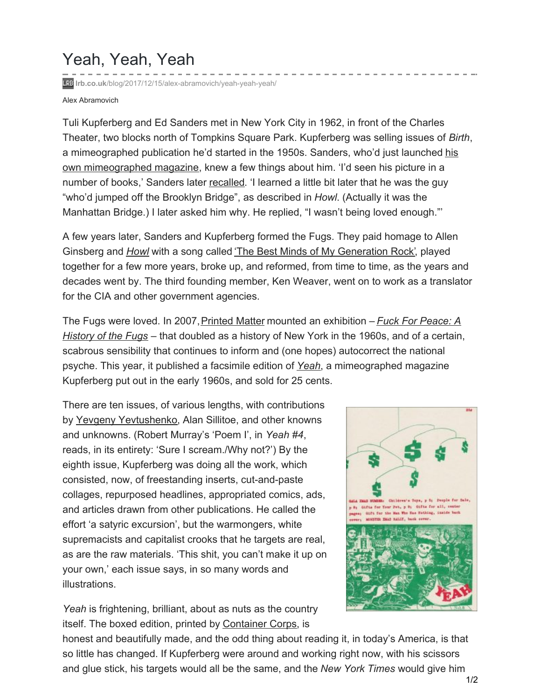## Yeah, Yeah, Yeah

**lrb.co.uk**[/blog/2017/12/15/alex-abramovich/yeah-yeah-yeah/](https://www.lrb.co.uk/blog/2017/12/15/alex-abramovich/yeah-yeah-yeah/)

## Alex Abramovich

Tuli Kupferberg and Ed Sanders met in New York City in 1962, in front of the Charles Theater, two blocks north of Tompkins Square Park. Kupferberg was selling issues of *Birth*, a [mimeographed](http://cdn.realitystudio.org/images/bibliographic_bunker/fuck_you/fuck-you-press-pdfs/fuck-you.01.pdf) publication he'd started in the 1950s. Sanders, who'd just launched his own mimeographed magazine, knew a few things about him. 'I'd seen his picture in a number of books,' Sanders later [recalled](https://www.dacapopress.com/titles/ed-sanders/fug-you/9780306819438/). 'I learned a little bit later that he was the guy "who'd jumped off the Brooklyn Bridge", as described in *Howl*. (Actually it was the Manhattan Bridge.) I later asked him why. He replied, "I wasn't being loved enough."'

A few years later, Sanders and Kupferberg formed the Fugs. They paid homage to Allen Ginsberg and *[Howl](https://www.lrb.co.uk/v09/n08/mark-ford/i-am-prince-mishkin)* with a song called 'The Best Minds of My [Generation](https://www.youtube.com/watch?v=lV4FMNfD_9E) Rock', played together for a few more years, broke up, and reformed, from time to time, as the years and decades went by. The third founding member, Ken Weaver, went on to work as a translator for the CIA and other government agencies.

The Fugs were loved. In 2007, Printed Matter mounted an exhibition – *Fuck For Peace: A History of the Fugs* – that doubled as a history of New York in the 1960s, and of a certain, scabrous sensibility that continues to inform and (one hopes) autocorrect the national psyche. This year, it published a facsimile edition of *[Yeah](https://www.printedmatter.org/catalog/49188/)*, a mimeographed magazine Kupferberg put out in the early 1960s, and sold for 25 cents.

There are ten issues, of various lengths, with contributions by Yevgeny [Yevtushenko](https://www.lrb.co.uk/search?author=Yevtushenko,+Yevgeny), Alan Sillitoe, and other knowns and unknowns. (Robert Murray's 'Poem I', in *Yeah #4*, reads, in its entirety: 'Sure I scream./Why not?') By the eighth issue, Kupferberg was doing all the work, which consisted, now, of freestanding inserts, cut-and-paste collages, repurposed headlines, appropriated comics, ads, and articles drawn from other publications. He called the effort 'a satyric excursion', but the warmongers, white supremacists and capitalist crooks that he targets are real, as are the raw materials. 'This shit, you can't make it up on your own,' each issue says, in so many words and illustrations.

*Yeah* is frightening, brilliant, about as nuts as the country itself. The boxed edition, printed by [Container](http://containercorps.com/an-arts-press/) Corps, is



honest and beautifully made, and the odd thing about reading it, in today's America, is that so little has changed. If Kupferberg were around and working right now, with his scissors and glue stick, his targets would all be the same, and the *New York Times* would give him